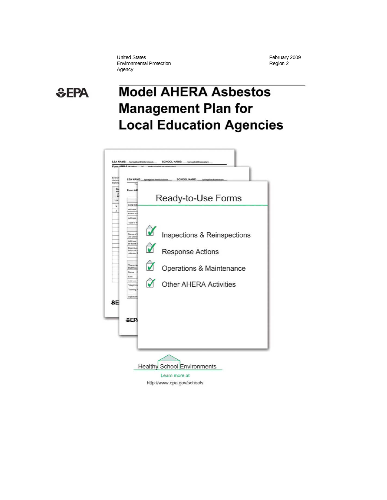United States<br>
Environmental Protection<br>
Fegion 2 Environmental Protection Agency

# **SEPA**

# **Model AHERA Asbestos Management Plan for Local Education Agencies**

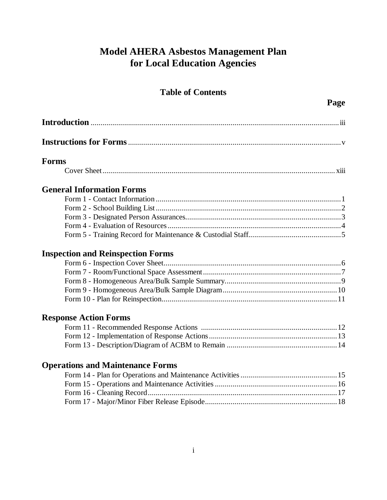# **Model AHERA Asbestos Management Plan for Local Education Agencies**

## **Table of Contents**

| <b>Forms</b>                             |
|------------------------------------------|
|                                          |
| <b>General Information Forms</b>         |
|                                          |
|                                          |
|                                          |
|                                          |
|                                          |
| <b>Inspection and Reinspection Forms</b> |
|                                          |
|                                          |
|                                          |
|                                          |
|                                          |
| <b>Response Action Forms</b>             |
|                                          |
|                                          |
|                                          |
| <b>Operations and Maintenance Forms</b>  |
|                                          |
|                                          |
|                                          |
|                                          |
|                                          |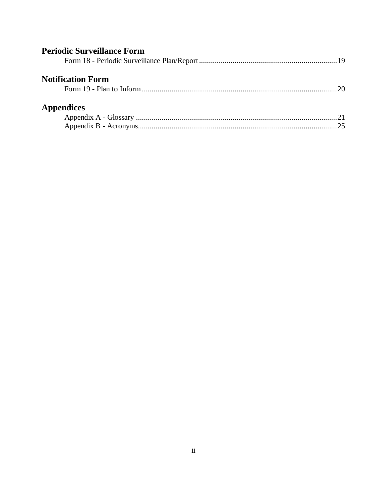| <b>Periodic Surveillance Form</b> |    |
|-----------------------------------|----|
| <b>Notification Form</b>          | 20 |
| <b>Appendices</b>                 |    |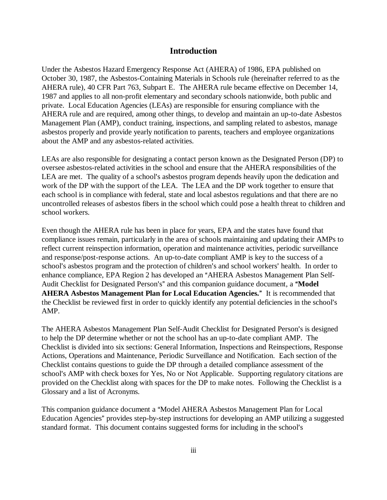### **Introduction**

Under the Asbestos Hazard Emergency Response Act (AHERA) of 1986, EPA published on October 30, 1987, the Asbestos-Containing Materials in Schools rule (hereinafter referred to as the AHERA rule), 40 CFR Part 763, Subpart E. The AHERA rule became effective on December 14, 1987 and applies to all non-profit elementary and secondary schools nationwide, both public and private. Local Education Agencies (LEAs) are responsible for ensuring compliance with the AHERA rule and are required, among other things, to develop and maintain an up-to-date Asbestos Management Plan (AMP), conduct training, inspections, and sampling related to asbestos, manage asbestos properly and provide yearly notification to parents, teachers and employee organizations about the AMP and any asbestos-related activities.

LEAs are also responsible for designating a contact person known as the Designated Person (DP) to oversee asbestos-related activities in the school and ensure that the AHERA responsibilities of the LEA are met. The quality of a school's asbestos program depends heavily upon the dedication and work of the DP with the support of the LEA. The LEA and the DP work together to ensure that each school is in compliance with federal, state and local asbestos regulations and that there are no uncontrolled releases of asbestos fibers in the school which could pose a health threat to children and school workers.

Even though the AHERA rule has been in place for years, EPA and the states have found that compliance issues remain, particularly in the area of schools maintaining and updating their AMPs to reflect current reinspection information, operation and maintenance activities, periodic surveillance and response/post-response actions. An up-to-date compliant AMP is key to the success of a school's asbestos program and the protection of children's and school workers' health. In order to enhance compliance, EPA Region 2 has developed an "AHERA Asbestos Management Plan Self-Audit Checklist for Designated Person's" and this companion guidance document, a "Model AHERA Asbestos Management Plan for Local Education Agencies." It is recommended that the Checklist be reviewed first in order to quickly identify any potential deficiencies in the school's AMP.

The AHERA Asbestos Management Plan Self-Audit Checklist for Designated Person's is designed to help the DP determine whether or not the school has an up-to-date compliant AMP. The Checklist is divided into six sections: General Information, Inspections and Reinspections, Response Actions, Operations and Maintenance, Periodic Surveillance and Notification. Each section of the Checklist contains questions to guide the DP through a detailed compliance assessment of the school's AMP with check boxes for Yes, No or Not Applicable. Supporting regulatory citations are provided on the Checklist along with spaces for the DP to make notes. Following the Checklist is a Glossary and a list of Acronyms.

This companion guidance document a "Model AHERA Asbestos Management Plan for Local Education Agencies" provides step-by-step instructions for developing an AMP utilizing a suggested standard format. This document contains suggested forms for including in the school's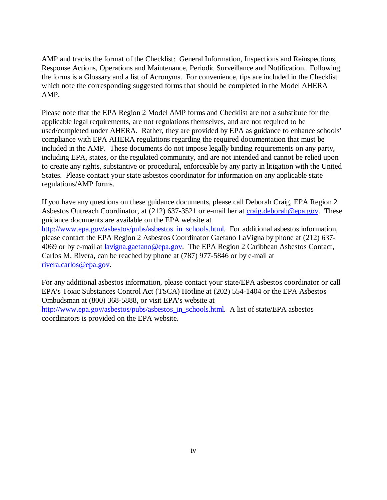AMP and tracks the format of the Checklist: General Information, Inspections and Reinspections, Response Actions, Operations and Maintenance, Periodic Surveillance and Notification. Following the forms is a Glossary and a list of Acronyms. For convenience, tips are included in the Checklist which note the corresponding suggested forms that should be completed in the Model AHERA AMP.

Please note that the EPA Region 2 Model AMP forms and Checklist are not a substitute for the applicable legal requirements, are not regulations themselves, and are not required to be used/completed under AHERA. Rather, they are provided by EPA as guidance to enhance schools' compliance with EPA AHERA regulations regarding the required documentation that must be included in the AMP. These documents do not impose legally binding requirements on any party, including EPA, states, or the regulated community, and are not intended and cannot be relied upon to create any rights, substantive or procedural, enforceable by any party in litigation with the United States. Please contact your state asbestos coordinator for information on any applicable state regulations/AMP forms.

If you have any questions on these guidance documents, please call Deborah Craig, EPA Region 2 Asbestos Outreach Coordinator, at (212) 637-3521 or e-mail her at craig.deborah@epa.gov. These guidance documents are available on the EPA website at http://www.epa.gov/asbestos/pubs/asbestos\_in\_schools.html. For additional asbestos information, please contact the EPA Region 2 Asbestos Coordinator Gaetano LaVigna by phone at (212) 637- 4069 or by e-mail at lavigna.gaetano@epa.gov. The EPA Region 2 Caribbean Asbestos Contact, Carlos M. Rivera, can be reached by phone at (787) 977-5846 or by e-mail at rivera.carlos@epa.gov.

For any additional asbestos information, please contact your state/EPA asbestos coordinator or call EPA's Toxic Substances Control Act (TSCA) Hotline at (202) 554-1404 or the EPA Asbestos Ombudsman at (800) 368-5888, or visit EPA's website at http://www.epa.gov/asbestos/pubs/asbestos\_in\_schools.html. A list of state/EPA asbestos coordinators is provided on the EPA website.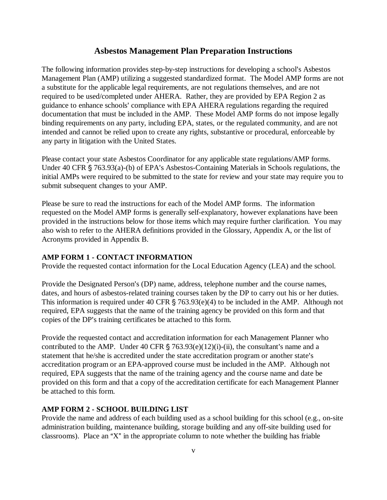#### **Asbestos Management Plan Preparation Instructions**

The following information provides step-by-step instructions for developing a school's Asbestos Management Plan (AMP) utilizing a suggested standardized format. The Model AMP forms are not a substitute for the applicable legal requirements, are not regulations themselves, and are not required to be used/completed under AHERA. Rather, they are provided by EPA Region 2 as guidance to enhance schools' compliance with EPA AHERA regulations regarding the required documentation that must be included in the AMP. These Model AMP forms do not impose legally binding requirements on any party, including EPA, states, or the regulated community, and are not intended and cannot be relied upon to create any rights, substantive or procedural, enforceable by any party in litigation with the United States.

Please contact your state Asbestos Coordinator for any applicable state regulations/AMP forms. Under 40 CFR  $\S$  763.93(a)-(b) of EPA's Asbestos-Containing Materials in Schools regulations, the initial AMPs were required to be submitted to the state for review and your state may require you to submit subsequent changes to your AMP.

Please be sure to read the instructions for each of the Model AMP forms. The information requested on the Model AMP forms is generally self-explanatory, however explanations have been provided in the instructions below for those items which may require further clarification. You may also wish to refer to the AHERA definitions provided in the Glossary, Appendix A, or the list of Acronyms provided in Appendix B.

#### **AMP FORM 1 - CONTACT INFORMATION**

Provide the requested contact information for the Local Education Agency (LEA) and the school.

Provide the Designated Person's (DP) name, address, telephone number and the course names, dates, and hours of asbestos-related training courses taken by the DP to carry out his or her duties. This information is required under 40 CFR  $\S$  763.93(e)(4) to be included in the AMP. Although not required, EPA suggests that the name of the training agency be provided on this form and that copies of the DP's training certificates be attached to this form.

Provide the requested contact and accreditation information for each Management Planner who contributed to the AMP. Under 40 CFR  $\S$  763.93(e)(12)(i)-(ii), the consultant's name and a statement that he/she is accredited under the state accreditation program or another state's accreditation program or an EPA-approved course must be included in the AMP. Although not required, EPA suggests that the name of the training agency and the course name and date be provided on this form and that a copy of the accreditation certificate for each Management Planner be attached to this form.

#### **AMP FORM 2 - SCHOOL BUILDING LIST**

Provide the name and address of each building used as a school building for this school (e.g., on-site administration building, maintenance building, storage building and any off-site building used for classrooms). Place an "X" in the appropriate column to note whether the building has friable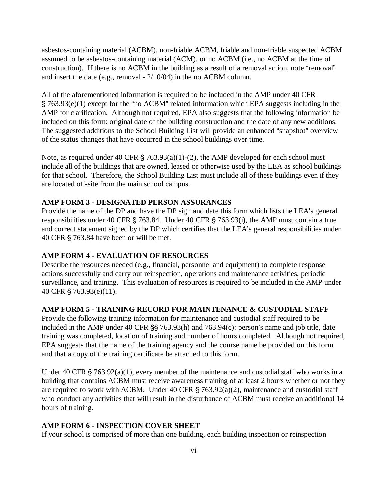asbestos-containing material (ACBM), non-friable ACBM, friable and non-friable suspected ACBM assumed to be asbestos-containing material (ACM), or no ACBM (i.e., no ACBM at the time of construction). If there is no ACBM in the building as a result of a removal action, note "removal" and insert the date (e.g., removal - 2/10/04) in the no ACBM column.

All of the aforementioned information is required to be included in the AMP under 40 CFR  $\S$  763.93(e)(1) except for the "no ACBM" related information which EPA suggests including in the AMP for clarification. Although not required, EPA also suggests that the following information be included on this form: original date of the building construction and the date of any new additions. The suggested additions to the School Building List will provide an enhanced "snapshot" overview of the status changes that have occurred in the school buildings over time.

Note, as required under 40 CFR  $\S$  763.93(a)(1)-(2), the AMP developed for each school must include all of the buildings that are owned, leased or otherwise used by the LEA as school buildings for that school. Therefore, the School Building List must include all of these buildings even if they are located off-site from the main school campus.

#### **AMP FORM 3 - DESIGNATED PERSON ASSURANCES**

Provide the name of the DP and have the DP sign and date this form which lists the LEA's general responsibilities under 40 CFR  $\S$  763.84. Under 40 CFR  $\S$  763.93(i), the AMP must contain a true and correct statement signed by the DP which certifies that the LEA's general responsibilities under 40 CFR  $\S$  763.84 have been or will be met.

#### **AMP FORM 4 - EVALUATION OF RESOURCES**

Describe the resources needed (e.g., financial, personnel and equipment) to complete response actions successfully and carry out reinspection, operations and maintenance activities, periodic surveillance, and training. This evaluation of resources is required to be included in the AMP under 40 CFR § 763.93(e)(11).

#### **AMP FORM 5 - TRAINING RECORD FOR MAINTENANCE & CUSTODIAL STAFF**

Provide the following training information for maintenance and custodial staff required to be included in the AMP under 40 CFR  $\S$  763.93(h) and 763.94(c): person's name and job title, date training was completed, location of training and number of hours completed. Although not required, EPA suggests that the name of the training agency and the course name be provided on this form and that a copy of the training certificate be attached to this form.

Under 40 CFR  $\S$  763.92(a)(1), every member of the maintenance and custodial staff who works in a building that contains ACBM must receive awareness training of at least 2 hours whether or not they are required to work with ACBM. Under 40 CFR  $\S$  763.92(a)(2), maintenance and custodial staff who conduct any activities that will result in the disturbance of ACBM must receive an additional 14 hours of training.

#### **AMP FORM 6 - INSPECTION COVER SHEET**

If your school is comprised of more than one building, each building inspection or reinspection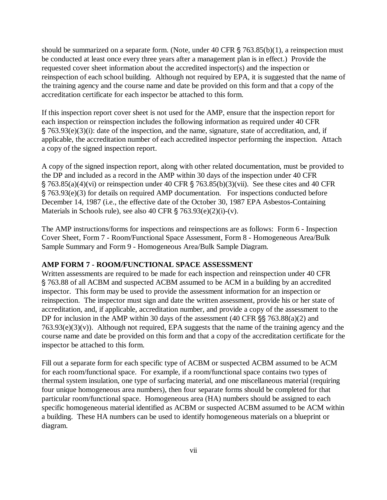should be summarized on a separate form. (Note, under  $40 \text{ CFR } \S$  763.85(b)(1), a reinspection must be conducted at least once every three years after a management plan is in effect.) Provide the requested cover sheet information about the accredited inspector(s) and the inspection or reinspection of each school building. Although not required by EPA, it is suggested that the name of the training agency and the course name and date be provided on this form and that a copy of the accreditation certificate for each inspector be attached to this form.

If this inspection report cover sheet is not used for the AMP, ensure that the inspection report for each inspection or reinspection includes the following information as required under 40 CFR ' 763.93(e)(3)(i): date of the inspection, and the name, signature, state of accreditation, and, if applicable, the accreditation number of each accredited inspector performing the inspection. Attach a copy of the signed inspection report.

A copy of the signed inspection report, along with other related documentation, must be provided to the DP and included as a record in the AMP within 30 days of the inspection under 40 CFR  $\S$  763.85(a)(4)(vi) or reinspection under 40 CFR  $\S$  763.85(b)(3)(vii). See these cites and 40 CFR ' 763.93(e)(3) for details on required AMP documentation. For inspections conducted before December 14, 1987 (i.e., the effective date of the October 30, 1987 EPA Asbestos-Containing Materials in Schools rule), see also 40 CFR  $\S 763.93(e)(2)(i)-(v)$ .

The AMP instructions/forms for inspections and reinspections are as follows: Form 6 - Inspection Cover Sheet, Form 7 - Room/Functional Space Assessment, Form 8 - Homogeneous Area/Bulk Sample Summary and Form 9 - Homogeneous Area/Bulk Sample Diagram.

#### **AMP FORM 7 - ROOM/FUNCTIONAL SPACE ASSESSMENT**

Written assessments are required to be made for each inspection and reinspection under 40 CFR ' 763.88 of all ACBM and suspected ACBM assumed to be ACM in a building by an accredited inspector. This form may be used to provide the assessment information for an inspection or reinspection. The inspector must sign and date the written assessment, provide his or her state of accreditation, and, if applicable, accreditation number, and provide a copy of the assessment to the DP for inclusion in the AMP within 30 days of the assessment  $(40 \text{ CFR} \text{ s}\text{ s} \text{ 763.88(a)}(2)$  and  $763.93(e)(3)(v)$ . Although not required, EPA suggests that the name of the training agency and the course name and date be provided on this form and that a copy of the accreditation certificate for the inspector be attached to this form.

Fill out a separate form for each specific type of ACBM or suspected ACBM assumed to be ACM for each room/functional space. For example, if a room/functional space contains two types of thermal system insulation, one type of surfacing material, and one miscellaneous material (requiring four unique homogeneous area numbers), then four separate forms should be completed for that particular room/functional space. Homogeneous area (HA) numbers should be assigned to each specific homogeneous material identified as ACBM or suspected ACBM assumed to be ACM within a building. These HA numbers can be used to identify homogeneous materials on a blueprint or diagram.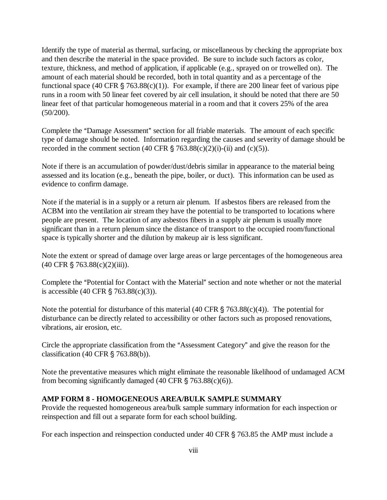Identify the type of material as thermal, surfacing, or miscellaneous by checking the appropriate box and then describe the material in the space provided. Be sure to include such factors as color, texture, thickness, and method of application, if applicable (e.g., sprayed on or trowelled on). The amount of each material should be recorded, both in total quantity and as a percentage of the functional space (40 CFR  $\frac{1}{5}$  763.88(c)(1)). For example, if there are 200 linear feet of various pipe runs in a room with 50 linear feet covered by air cell insulation, it should be noted that there are 50 linear feet of that particular homogeneous material in a room and that it covers 25% of the area (50/200).

Complete the "Damage Assessment" section for all friable materials. The amount of each specific type of damage should be noted. Information regarding the causes and severity of damage should be recorded in the comment section (40 CFR  $\S$  763.88(c)(2)(i)-(ii) and (c)(5)).

Note if there is an accumulation of powder/dust/debris similar in appearance to the material being assessed and its location (e.g., beneath the pipe, boiler, or duct). This information can be used as evidence to confirm damage.

Note if the material is in a supply or a return air plenum. If asbestos fibers are released from the ACBM into the ventilation air stream they have the potential to be transported to locations where people are present. The location of any asbestos fibers in a supply air plenum is usually more significant than in a return plenum since the distance of transport to the occupied room/functional space is typically shorter and the dilution by makeup air is less significant.

Note the extent or spread of damage over large areas or large percentages of the homogeneous area  $(40 \text{ CFR } \S$  763.88(c)(2)(iii)).

Complete the "Potential for Contact with the Material" section and note whether or not the material is accessible  $(40 \text{ CFR } \S 763.88(c)(3))$ .

Note the potential for disturbance of this material (40 CFR  $\S$  763.88(c)(4)). The potential for disturbance can be directly related to accessibility or other factors such as proposed renovations, vibrations, air erosion, etc.

Circle the appropriate classification from the "Assessment Category" and give the reason for the classification (40 CFR  $\S$  763.88(b)).

Note the preventative measures which might eliminate the reasonable likelihood of undamaged ACM from becoming significantly damaged (40 CFR  $\S$  763.88(c)(6)).

### **AMP FORM 8 - HOMOGENEOUS AREA/BULK SAMPLE SUMMARY**

Provide the requested homogeneous area/bulk sample summary information for each inspection or reinspection and fill out a separate form for each school building.

For each inspection and reinspection conducted under  $40$  CFR  $\S$  763.85 the AMP must include a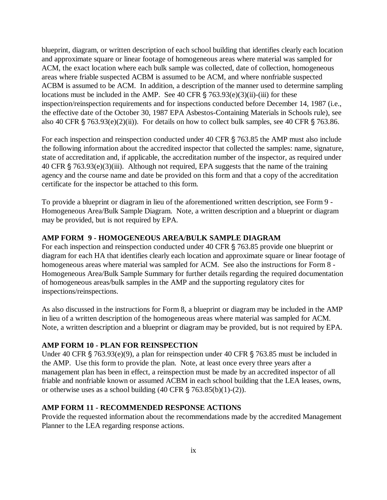blueprint, diagram, or written description of each school building that identifies clearly each location and approximate square or linear footage of homogeneous areas where material was sampled for ACM, the exact location where each bulk sample was collected, date of collection, homogeneous areas where friable suspected ACBM is assumed to be ACM, and where nonfriable suspected ACBM is assumed to be ACM. In addition, a description of the manner used to determine sampling locations must be included in the AMP. See 40 CFR  $\S$  763.93(e)(3)(ii)-(iii) for these inspection/reinspection requirements and for inspections conducted before December 14, 1987 (i.e., the effective date of the October 30, 1987 EPA Asbestos-Containing Materials in Schools rule), see also 40 CFR  $\frac{1}{5}$  763.93(e)(2)(ii)). For details on how to collect bulk samples, see 40 CFR  $\frac{1}{5}$  763.86.

For each inspection and reinspection conducted under 40 CFR § 763.85 the AMP must also include the following information about the accredited inspector that collected the samples: name, signature, state of accreditation and, if applicable, the accreditation number of the inspector, as required under 40 CFR  $\S$  763.93(e)(3)(iii). Although not required, EPA suggests that the name of the training agency and the course name and date be provided on this form and that a copy of the accreditation certificate for the inspector be attached to this form.

To provide a blueprint or diagram in lieu of the aforementioned written description, see Form 9 - Homogeneous Area/Bulk Sample Diagram. Note, a written description and a blueprint or diagram may be provided, but is not required by EPA.

#### **AMP FORM 9 - HOMOGENEOUS AREA/BULK SAMPLE DIAGRAM**

For each inspection and reinspection conducted under  $40$  CFR  $\S$  763.85 provide one blueprint or diagram for each HA that identifies clearly each location and approximate square or linear footage of homogeneous areas where material was sampled for ACM. See also the instructions for Form 8 - Homogeneous Area/Bulk Sample Summary for further details regarding the required documentation of homogeneous areas/bulk samples in the AMP and the supporting regulatory cites for inspections/reinspections.

As also discussed in the instructions for Form 8, a blueprint or diagram may be included in the AMP in lieu of a written description of the homogeneous areas where material was sampled for ACM. Note, a written description and a blueprint or diagram may be provided, but is not required by EPA.

#### **AMP FORM 10 - PLAN FOR REINSPECTION**

Under 40 CFR  $\S$  763.93(e)(9), a plan for reinspection under 40 CFR  $\S$  763.85 must be included in the AMP. Use this form to provide the plan. Note, at least once every three years after a management plan has been in effect, a reinspection must be made by an accredited inspector of all friable and nonfriable known or assumed ACBM in each school building that the LEA leases, owns, or otherwise uses as a school building  $(40 \text{ CFR } \S$  763.85(b)(1)-(2)).

#### **AMP FORM 11 - RECOMMENDED RESPONSE ACTIONS**

Provide the requested information about the recommendations made by the accredited Management Planner to the LEA regarding response actions.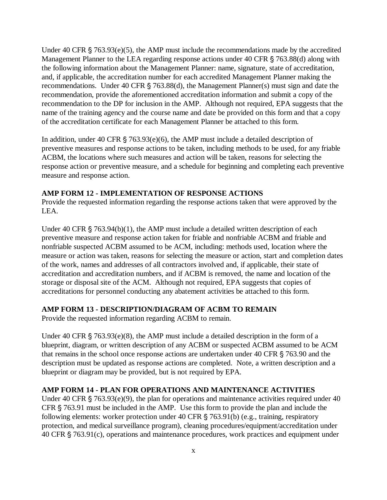Under 40 CFR  $\S$  763.93(e)(5), the AMP must include the recommendations made by the accredited Management Planner to the LEA regarding response actions under  $40 \text{ CFR } \xi$  763.88(d) along with the following information about the Management Planner: name, signature, state of accreditation, and, if applicable, the accreditation number for each accredited Management Planner making the recommendations. Under 40 CFR  $\S$  763.88(d), the Management Planner(s) must sign and date the recommendation, provide the aforementioned accreditation information and submit a copy of the recommendation to the DP for inclusion in the AMP. Although not required, EPA suggests that the name of the training agency and the course name and date be provided on this form and that a copy of the accreditation certificate for each Management Planner be attached to this form.

In addition, under 40 CFR  $\S$  763.93(e)(6), the AMP must include a detailed description of preventive measures and response actions to be taken, including methods to be used, for any friable ACBM, the locations where such measures and action will be taken, reasons for selecting the response action or preventive measure, and a schedule for beginning and completing each preventive measure and response action.

#### **AMP FORM 12 - IMPLEMENTATION OF RESPONSE ACTIONS**

Provide the requested information regarding the response actions taken that were approved by the LEA.

Under 40 CFR  $\S$  763.94(b)(1), the AMP must include a detailed written description of each preventive measure and response action taken for friable and nonfriable ACBM and friable and nonfriable suspected ACBM assumed to be ACM, including: methods used, location where the measure or action was taken, reasons for selecting the measure or action, start and completion dates of the work, names and addresses of all contractors involved and, if applicable, their state of accreditation and accreditation numbers, and if ACBM is removed, the name and location of the storage or disposal site of the ACM. Although not required, EPA suggests that copies of accreditations for personnel conducting any abatement activities be attached to this form.

#### **AMP FORM 13 - DESCRIPTION/DIAGRAM OF ACBM TO REMAIN**

Provide the requested information regarding ACBM to remain.

Under 40 CFR  $\S$  763.93(e)(8), the AMP must include a detailed description in the form of a blueprint, diagram, or written description of any ACBM or suspected ACBM assumed to be ACM that remains in the school once response actions are undertaken under  $40 \text{ CFR } \S$  763.90 and the description must be updated as response actions are completed. Note, a written description and a blueprint or diagram may be provided, but is not required by EPA.

### **AMP FORM 14 - PLAN FOR OPERATIONS AND MAINTENANCE ACTIVITIES**

Under 40 CFR  $\S$  763.93(e)(9), the plan for operations and maintenance activities required under 40 CFR  $\S$  763.91 must be included in the AMP. Use this form to provide the plan and include the following elements: worker protection under 40 CFR  $\S$  763.91(b) (e.g., training, respiratory protection, and medical surveillance program), cleaning procedures/equipment/accreditation under  $40$  CFR  $\S$  763.91(c), operations and maintenance procedures, work practices and equipment under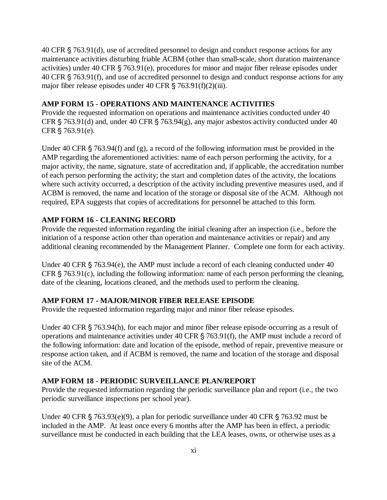40 CFR  $\S$  763.91(d), use of accredited personnel to design and conduct response actions for any maintenance activities disturbing friable ACBM (other than small-scale, short duration maintenance activities) under 40 CFR  $\S$  763.91(e), procedures for minor and major fiber release episodes under 40 CFR § 763.91(f), and use of accredited personnel to design and conduct response actions for any major fiber release episodes under 40 CFR  $\S$  763.91(f)(2)(iii).

#### **AMP FORM 15 - OPERATIONS AND MAINTENANCE ACTIVITIES**

Provide the requested information on operations and maintenance activities conducted under 40 CFR  $\S$  763.91(d) and, under 40 CFR  $\S$  763.94(g), any major asbestos activity conducted under 40 CFR  $$763.91(e)$ .

Under 40 CFR  $\S$  763.94(f) and (g), a record of the following information must be provided in the AMP regarding the aforementioned activities: name of each person performing the activity, for a major activity, the name, signature, state of accreditation and, if applicable, the accreditation number of each person performing the activity; the start and completion dates of the activity, the locations where such activity occurred, a description of the activity including preventive measures used, and if ACBM is removed, the name and location of the storage or disposal site of the ACM. Although not required, EPA suggests that copies of accreditations for personnel be attached to this form.

#### **AMP FORM 16 - CLEANING RECORD**

Provide the requested information regarding the initial cleaning after an inspection (i.e., before the initiation of a response action other than operation and maintenance activities or repair) and any additional cleaning recommended by the Management Planner. Complete one form for each activity.

Under 40 CFR  $\S$  763.94(e), the AMP must include a record of each cleaning conducted under 40 CFR  $\S$  763.91(c), including the following information: name of each person performing the cleaning, date of the cleaning, locations cleaned, and the methods used to perform the cleaning.

#### **AMP FORM 17 - MAJOR/MINOR FIBER RELEASE EPISODE**

Provide the requested information regarding major and minor fiber release episodes.

Under 40 CFR  $\S$  763.94(h), for each major and minor fiber release episode occurring as a result of operations and maintenance activities under 40 CFR  $\S$  763.91(f), the AMP must include a record of the following information: date and location of the episode, method of repair, preventive measure or response action taken, and if ACBM is removed, the name and location of the storage and disposal site of the ACM.

#### **AMP FORM 18 - PERIODIC SURVEILLANCE PLAN/REPORT**

Provide the requested information regarding the periodic surveillance plan and report (i.e., the two periodic surveillance inspections per school year).

Under 40 CFR  $\S$  763.93(e)(9), a plan for periodic surveillance under 40 CFR  $\S$  763.92 must be included in the AMP. At least once every 6 months after the AMP has been in effect, a periodic surveillance must be conducted in each building that the LEA leases, owns, or otherwise uses as a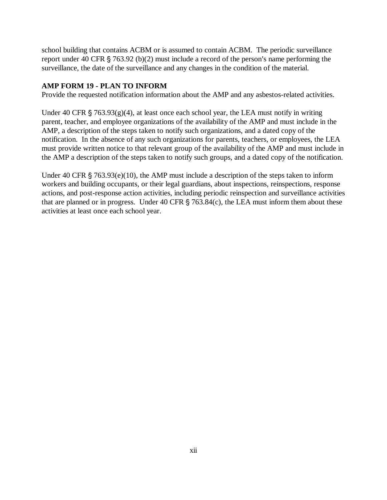school building that contains ACBM or is assumed to contain ACBM. The periodic surveillance report under 40 CFR  $\S$  763.92 (b)(2) must include a record of the person's name performing the surveillance, the date of the surveillance and any changes in the condition of the material.

### **AMP FORM 19 - PLAN TO INFORM**

Provide the requested notification information about the AMP and any asbestos-related activities.

Under 40 CFR  $\S$  763.93(g)(4), at least once each school year, the LEA must notify in writing parent, teacher, and employee organizations of the availability of the AMP and must include in the AMP, a description of the steps taken to notify such organizations, and a dated copy of the notification. In the absence of any such organizations for parents, teachers, or employees, the LEA must provide written notice to that relevant group of the availability of the AMP and must include in the AMP a description of the steps taken to notify such groups, and a dated copy of the notification.

Under 40 CFR  $\S$  763.93(e)(10), the AMP must include a description of the steps taken to inform workers and building occupants, or their legal guardians, about inspections, reinspections, response actions, and post-response action activities, including periodic reinspection and surveillance activities that are planned or in progress. Under 40 CFR  $\S$  763.84(c), the LEA must inform them about these activities at least once each school year.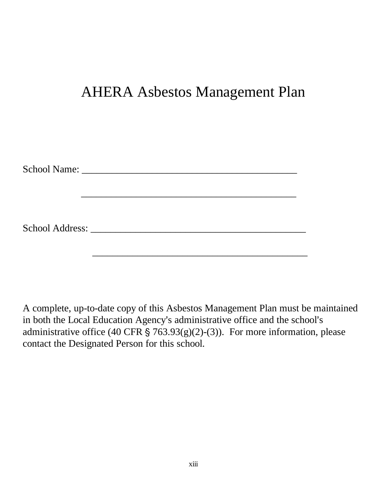# AHERA Asbestos Management Plan

A complete, up-to-date copy of this Asbestos Management Plan must be maintained in both the Local Education Agency's administrative office and the school's administrative office (40 CFR  $\S$  763.93(g)(2)-(3)). For more information, please contact the Designated Person for this school.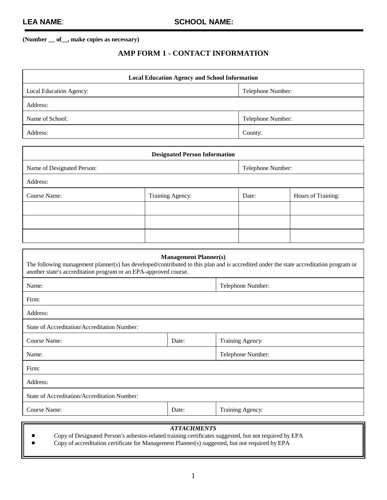### **AMP FORM 1 - CONTACT INFORMATION**

| <b>Local Education Agency and School Information</b> |                   |  |  |  |
|------------------------------------------------------|-------------------|--|--|--|
| Local Education Agency:                              | Telephone Number: |  |  |  |
| Address:                                             |                   |  |  |  |
| Name of School:                                      | Telephone Number: |  |  |  |
| Address:                                             | County:           |  |  |  |

| <b>Designated Person Information</b>            |                  |       |                    |  |  |  |
|-------------------------------------------------|------------------|-------|--------------------|--|--|--|
| Name of Designated Person:<br>Telephone Number: |                  |       |                    |  |  |  |
| Address:                                        |                  |       |                    |  |  |  |
| Course Name:                                    | Training Agency: | Date: | Hours of Training: |  |  |  |
|                                                 |                  |       |                    |  |  |  |
|                                                 |                  |       |                    |  |  |  |
|                                                 |                  |       |                    |  |  |  |

| <b>Management Planner(s)</b><br>The following management planner(s) has developed/contributed to this plan and is accredited under the state accreditation program or<br>another state's accreditation program or an EPA-approved course. |                   |                  |  |  |  |
|-------------------------------------------------------------------------------------------------------------------------------------------------------------------------------------------------------------------------------------------|-------------------|------------------|--|--|--|
| Name:                                                                                                                                                                                                                                     | Telephone Number: |                  |  |  |  |
| Firm:                                                                                                                                                                                                                                     |                   |                  |  |  |  |
| Address:                                                                                                                                                                                                                                  |                   |                  |  |  |  |
| State of Accreditation/Accreditation Number:                                                                                                                                                                                              |                   |                  |  |  |  |
| Course Name:<br>Date:<br>Training Agency:                                                                                                                                                                                                 |                   |                  |  |  |  |
| Telephone Number:<br>Name:                                                                                                                                                                                                                |                   |                  |  |  |  |
| Firm:                                                                                                                                                                                                                                     |                   |                  |  |  |  |
| Address:                                                                                                                                                                                                                                  |                   |                  |  |  |  |
| State of Accreditation/Accreditation Number:                                                                                                                                                                                              |                   |                  |  |  |  |
| Course Name:                                                                                                                                                                                                                              | Date:             | Training Agency: |  |  |  |
| <i><b>ATTLE CITE AT A UP AT THE</b></i>                                                                                                                                                                                                   |                   |                  |  |  |  |

#### *ATTACHMENTS*

Copy of Designated Person's asbestos-related training certificates suggested, but not required by EPA

! Copy of accreditation certificate for Management Planner(s) suggested, but not required by EPA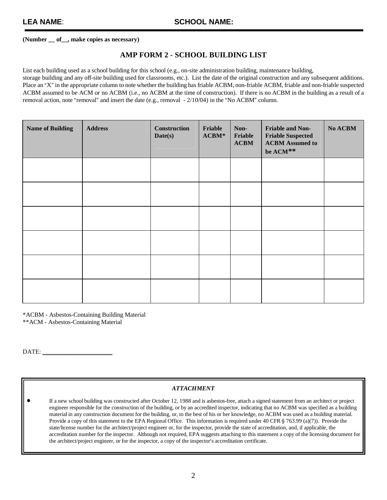#### **AMP FORM 2 - SCHOOL BUILDING LIST**

List each building used as a school building for this school (e.g., on-site administration building, maintenance building,

storage building and any off-site building used for classrooms, etc.). List the date of the original construction and any subsequent additions. Place an "X" in the appropriate column to note whether the building has friable ACBM, non-friable ACBM, friable and non-friable suspected ACBM assumed to be ACM or no ACBM (i.e., no ACBM at the time of construction). If there is no ACBM in the building as a result of a removal action, note "removal" and insert the date (e.g., removal - 2/10/04) in the "No ACBM" column.

| <b>Name of Building</b> | <b>Address</b> | <b>Construction</b><br>Date(s) | Friable<br>$ACBM*$ | Non-<br>Friable<br><b>ACBM</b> | Friable and Non-<br><b>Friable Suspected</b><br><b>ACBM</b> Assumed to<br>be ACM ** | No ACBM |
|-------------------------|----------------|--------------------------------|--------------------|--------------------------------|-------------------------------------------------------------------------------------|---------|
|                         |                |                                |                    |                                |                                                                                     |         |
|                         |                |                                |                    |                                |                                                                                     |         |
|                         |                |                                |                    |                                |                                                                                     |         |
|                         |                |                                |                    |                                |                                                                                     |         |
|                         |                |                                |                    |                                |                                                                                     |         |
|                         |                |                                |                    |                                |                                                                                     |         |

\*ACBM - Asbestos-Containing Building Material

\*\*ACM - Asbestos-Containing Material

DATE: U\_\_\_\_\_\_\_\_\_\_\_\_\_\_\_\_\_\_\_\_\_\_

#### *ATTACHMENT*

If a new school building was constructed after October 12, 1988 and is asbestos-free, attach a signed statement from an architect or project engineer responsible for the construction of the building, or by an accredited inspector, indicating that no ACBM was specified as a building material in any construction document for the building, or, to the best of his or her knowledge, no ACBM was used as a building material. Provide a copy of this statement to the EPA Regional Office. This information is required under 40 CFR  $\S$  763.99 (a)(7)). Provide the state/license number for the architect/project engineer or, for the inspector, provide the state of accreditation, and, if applicable, the accreditation number for the inspector. Although not required, EPA suggests attaching to this statement a copy of the licensing document for the architect/project engineer, or for the inspector, a copy of the inspector's accreditation certificate.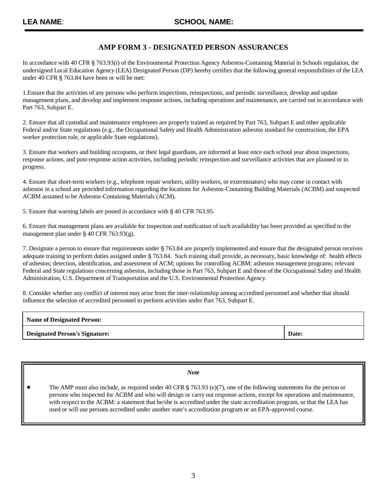### **AMP FORM 3 - DESIGNATED PERSON ASSURANCES**

In accordance with 40 CFR § 763.93(i) of the Environmental Protection Agency Asbestos-Containing Material in Schools regulation, the undersigned Local Education Agency (LEA) Designated Person (DP) hereby certifies that the following general responsibilities of the LEA under 40 CFR § 763.84 have been or will be met:

1.Ensure that the activities of any persons who perform inspections, reinspections, and periodic surveillance, develop and update management plans, and develop and implement response actions, including operations and maintenance, are carried out in accordance with Part 763, Subpart E.

2. Ensure that all custodial and maintenance employees are properly trained as required by Part 763, Subpart E and other applicable Federal and/or State regulations (e.g., the Occupational Safety and Health Administration asbestos standard for construction, the EPA worker protection rule, or applicable State regulations).

3. Ensure that workers and building occupants, or their legal guardians, are informed at least once each school year about inspections, response actions, and post-response action activities, including periodic reinspection and surveillance activities that are planned or in progress.

4. Ensure that short-term workers (e.g., telephone repair workers, utility workers, or exterminators) who may come in contact with asbestos in a school are provided information regarding the locations for Asbestos-Containing Building Materials (ACBM) and suspected ACBM assumed to be Asbestos-Containing Materials (ACM).

5. Ensure that warning labels are posted in accordance with  $\S$  40 CFR 763.95.

6. Ensure that management plans are available for inspection and notification of such availability has been provided as specified in the management plan under  $\S$  40 CFR 763.93(g).

7. Designate a person to ensure that requirements under § 763.84 are properly implemented and ensure that the designated person receives adequate training to perform duties assigned under § 763.84. Such training shall provide, as necessary, basic knowledge of: health effects of asbestos; detection, identification, and assessment of ACM; options for controlling ACBM; asbestos management programs; relevant Federal and State regulations concerning asbestos, including those in Part 763, Subpart E and those of the Occupational Safety and Health Administration, U.S. Department of Transportation and the U.S. Environmental Protection Agency.

8. Consider whether any conflict of interest may arise from the inter-relationship among accredited personnel and whether that should influence the selection of accredited personnel to perform activities under Part 763, Subpart E.

| <b>Name of Designated Person:</b>     |       |
|---------------------------------------|-------|
| <b>Designated Person's Signature:</b> | Date: |

| <b>Note</b>                                                                                                                                                                                                                                                                                                                                                                                                                                                                                       |
|---------------------------------------------------------------------------------------------------------------------------------------------------------------------------------------------------------------------------------------------------------------------------------------------------------------------------------------------------------------------------------------------------------------------------------------------------------------------------------------------------|
| The AMP must also include, as required under 40 CFR $\S$ 763.93 (e)(7), one of the following statements for the person or<br>persons who inspected for ACBM and who will design or carry out response actions, except for operations and maintenance,<br>with respect to the ACBM: a statement that he/she is accredited under the state accreditation program, or that the LEA has<br>used or will use persons accredited under another state's accreditation program or an EPA-approved course. |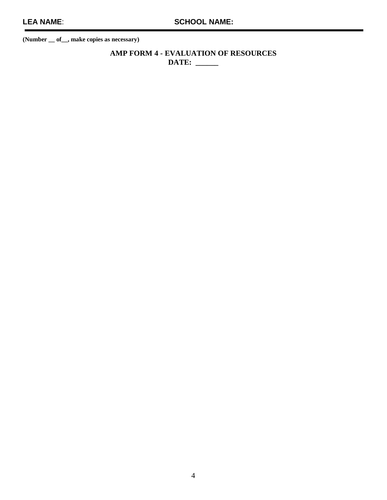**AMP FORM 4 - EVALUATION OF RESOURCES DATE: \_\_\_\_\_\_**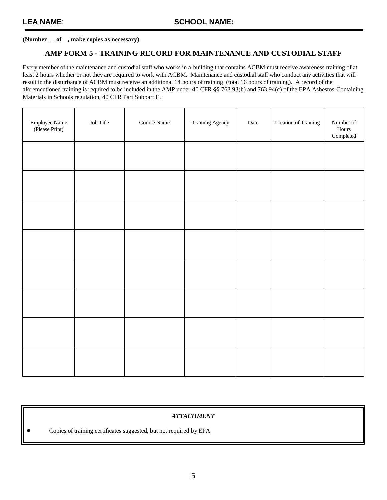#### **AMP FORM 5 - TRAINING RECORD FOR MAINTENANCE AND CUSTODIAL STAFF**

Every member of the maintenance and custodial staff who works in a building that contains ACBM must receive awareness training of at least 2 hours whether or not they are required to work with ACBM. Maintenance and custodial staff who conduct any activities that will result in the disturbance of ACBM must receive an additional 14 hours of training (total 16 hours of training). A record of the aforementioned training is required to be included in the AMP under 40 CFR §§ 763.93(h) and 763.94(c) of the EPA Asbestos-Containing Materials in Schools regulation, 40 CFR Part Subpart E.

| Employee Name<br>(Please Print) | Job Title | Course Name | Training Agency | Date | Location of Training | Number of<br>Hours<br>$\label{1} \textbf{Complete} \textbf{d}$ |
|---------------------------------|-----------|-------------|-----------------|------|----------------------|----------------------------------------------------------------|
|                                 |           |             |                 |      |                      |                                                                |
|                                 |           |             |                 |      |                      |                                                                |
|                                 |           |             |                 |      |                      |                                                                |
|                                 |           |             |                 |      |                      |                                                                |
|                                 |           |             |                 |      |                      |                                                                |
|                                 |           |             |                 |      |                      |                                                                |
|                                 |           |             |                 |      |                      |                                                                |
|                                 |           |             |                 |      |                      |                                                                |

| Copies of training certificates suggested, but not required by EPA | <b>ATTACHMENT</b> |
|--------------------------------------------------------------------|-------------------|
|                                                                    |                   |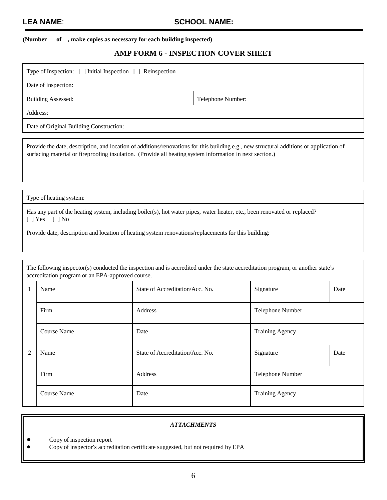#### **(Number \_\_ of\_\_, make copies as necessary for each building inspected)**

#### **AMP FORM 6 - INSPECTION COVER SHEET**

| Type of Inspection: [ ] Initial Inspection [ ] Reinspection |                   |  |  |
|-------------------------------------------------------------|-------------------|--|--|
| Date of Inspection:                                         |                   |  |  |
| <b>Building Assessed:</b>                                   | Telephone Number: |  |  |
| Address:                                                    |                   |  |  |
| Date of Original Building Construction:                     |                   |  |  |

Provide the date, description, and location of additions/renovations for this building e.g., new structural additions or application of surfacing material or fireproofing insulation. (Provide all heating system information in next section.)

Type of heating system:

Has any part of the heating system, including boiler(s), hot water pipes, water heater, etc., been renovated or replaced? [ ] Yes [ ] No

Provide date, description and location of heating system renovations/replacements for this building:

The following inspector(s) conducted the inspection and is accredited under the state accreditation program, or another state's accreditation program or an EPA-approved course. Name State of Accreditation/Acc. No. Signature Date Firm Address Address and Address and Address and Telephone Number 1 Course Name Date Date Training Agency Name State of Accreditation/Acc. No. Signature Date Firm Address Address and Address and Address and Telephone Number  $\mathcal{D}$ 

#### *ATTACHMENTS*

Course Name Date Date Training Agency

! Copy of inspection report

Copy of inspector's accreditation certificate suggested, but not required by EPA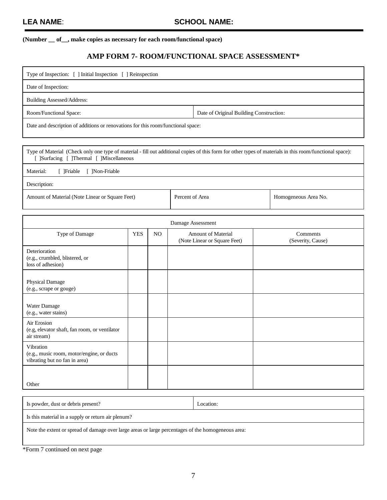#### **(Number \_\_ of\_\_, make copies as necessary for each room/functional space)**

#### **AMP FORM 7- ROOM/FUNCTIONAL SPACE ASSESSMENT\***

| Type of Inspection: [ ] Initial Inspection [ ] Reinspection                      |                                         |  |
|----------------------------------------------------------------------------------|-----------------------------------------|--|
| Date of Inspection:                                                              |                                         |  |
| Building Assessed/Address:                                                       |                                         |  |
| Room/Functional Space:                                                           | Date of Original Building Construction: |  |
| Date and description of additions or renovations for this room/functional space: |                                         |  |

Type of Material (Check only one type of material - fill out additional copies of this form for other types of materials in this room/functional space): [ ]Surfacing [ ]Thermal [ ]Miscellaneous

Material: [ ]Friable [ ]Non-Friable

Description:

Amount of Material (Note Linear or Square Feet) Percent of Area Homogeneous Area No.

|                                                                                         |            |     | Damage Assessment                                         |                               |
|-----------------------------------------------------------------------------------------|------------|-----|-----------------------------------------------------------|-------------------------------|
| Type of Damage                                                                          | <b>YES</b> | NO. | <b>Amount of Material</b><br>(Note Linear or Square Feet) | Comments<br>(Severity, Cause) |
| Deterioration<br>(e.g., crumbled, blistered, or<br>loss of adhesion)                    |            |     |                                                           |                               |
| Physical Damage<br>(e.g., scrape or gouge)                                              |            |     |                                                           |                               |
| Water Damage<br>(e.g., water stains)                                                    |            |     |                                                           |                               |
| Air Erosion<br>(e.g, elevator shaft, fan room, or ventilator<br>air stream)             |            |     |                                                           |                               |
| Vibration<br>(e.g., music room, motor/engine, or ducts<br>vibrating but no fan in area) |            |     |                                                           |                               |
| Other                                                                                   |            |     |                                                           |                               |

Is powder, dust or debris present? Location: Is this material in a supply or return air plenum? Note the extent or spread of damage over large areas or large percentages of the homogeneous area:

\*Form 7 continued on next page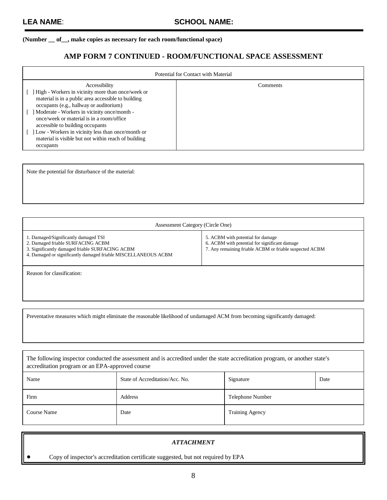#### **(Number \_\_ of\_\_, make copies as necessary for each room/functional space)**

#### **AMP FORM 7 CONTINUED - ROOM/FUNCTIONAL SPACE ASSESSMENT**

| Potential for Contact with Material                                                                                                                                                                                                                                                                                                                                                                                            |          |  |
|--------------------------------------------------------------------------------------------------------------------------------------------------------------------------------------------------------------------------------------------------------------------------------------------------------------------------------------------------------------------------------------------------------------------------------|----------|--|
| Accessibility<br>High - Workers in vicinity more than once/week or<br>material is in a public area accessible to building<br>occupants (e.g., hallway or auditorium)<br>Moderate - Workers in vicinity once/month -<br>once/week or material is in a room/office<br>accessible to building occupants<br>Low - Workers in vicinity less than once/month or<br>material is visible but not within reach of building<br>occupants | Comments |  |

Note the potential for disturbance of the material:

| Assessment Category (Circle One)                                                                                                                                                               |                                                                                                                                               |
|------------------------------------------------------------------------------------------------------------------------------------------------------------------------------------------------|-----------------------------------------------------------------------------------------------------------------------------------------------|
| 1. Damaged/Significantly damaged TSI<br>2. Damaged friable SURFACING ACBM<br>3. Significantly damaged friable SURFACING ACBM<br>4. Damaged or significantly damaged friable MISCELLANEOUS ACBM | 5. ACBM with potential for damage<br>6. ACBM with potential for significant damage<br>7. Any remaining friable ACBM or friable suspected ACBM |
| Reason for classification:                                                                                                                                                                     |                                                                                                                                               |

Preventative measures which might eliminate the reasonable likelihood of undamaged ACM from becoming significantly damaged:

| The following inspector conducted the assessment and is accredited under the state accreditation program, or another state's<br>accreditation program or an EPA-approved course |                                 |                        |      |  |  |
|---------------------------------------------------------------------------------------------------------------------------------------------------------------------------------|---------------------------------|------------------------|------|--|--|
| Name                                                                                                                                                                            | State of Accreditation/Acc. No. | Signature              | Date |  |  |
| Firm                                                                                                                                                                            | Address                         | Telephone Number       |      |  |  |
| Course Name                                                                                                                                                                     | Date                            | <b>Training Agency</b> |      |  |  |

|           | <i><b>ATTACHMENT</b></i>                                                         |
|-----------|----------------------------------------------------------------------------------|
| $\bullet$ | Copy of inspector's accreditation certificate suggested, but not required by EPA |

 $\overline{\mathbf{1}}$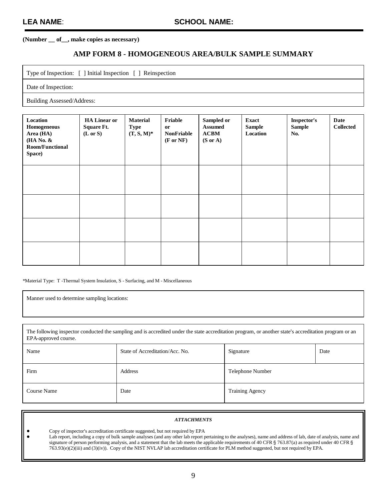#### **AMP FORM 8 - HOMOGENEOUS AREA/BULK SAMPLE SUMMARY**

Type of Inspection: [ ] Initial Inspection [ ] Reinspection

Date of Inspection:

Building Assessed/Address:

| Location<br>Homogeneous<br>Area (HA)<br>(HA No. &<br><b>Room/Functional</b><br>Space) | <b>HA Linear or</b><br><b>Square Ft.</b><br>$(L \text{ or } S)$ | <b>Material</b><br><b>Type</b><br>$(T, S, M)^*$ | Friable<br>or<br><b>NonFriable</b><br>$(F \text{ or } NF)$ | Sampled or<br><b>Assumed</b><br>ACBM<br>$(S \text{ or } A)$ | <b>Exact</b><br><b>Sample</b><br>Location | <b>Inspector's</b><br><b>Sample</b><br>No. | Date<br><b>Collected</b> |
|---------------------------------------------------------------------------------------|-----------------------------------------------------------------|-------------------------------------------------|------------------------------------------------------------|-------------------------------------------------------------|-------------------------------------------|--------------------------------------------|--------------------------|
|                                                                                       |                                                                 |                                                 |                                                            |                                                             |                                           |                                            |                          |
|                                                                                       |                                                                 |                                                 |                                                            |                                                             |                                           |                                            |                          |
|                                                                                       |                                                                 |                                                 |                                                            |                                                             |                                           |                                            |                          |
|                                                                                       |                                                                 |                                                 |                                                            |                                                             |                                           |                                            |                          |

\*Material Type: T -Thermal System Insulation, S - Surfacing, and M - Miscellaneous

Manner used to determine sampling locations:

The following inspector conducted the sampling and is accredited under the state accreditation program, or another state's accreditation program or an EPA-approved course.

| Name        | State of Accreditation/Acc. No. | Signature<br>Date      |  |
|-------------|---------------------------------|------------------------|--|
| Firm        | Address                         | Telephone Number       |  |
| Course Name | Date                            | <b>Training Agency</b> |  |

| <b>ATTACHMENTS</b>                                                                                                                                              |
|-----------------------------------------------------------------------------------------------------------------------------------------------------------------|
| Copy of inspector's accreditation certificate suggested, but not required by EPA                                                                                |
| Lab report, including a copy of bulk sample analyses (and any other lab report pertaining to the analyses), name and address of lab, date of analysis, name and |
| signature of person performing analysis, and a statement that the lab meets the applicable requirements of 40 CFR $\S$ 763.87(a) as required under 40 CFR $\S$  |
| $763.93(e)(2)(iii)$ and $(3)(iv)$ . Copy of the NIST NVLAP lab accreditation certificate for PLM method suggested, but not required by EPA.                     |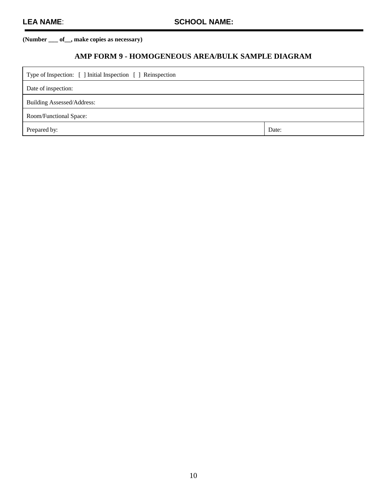### **AMP FORM 9 - HOMOGENEOUS AREA/BULK SAMPLE DIAGRAM**

| Type of Inspection: [ ] Initial Inspection [ ] Reinspection |       |
|-------------------------------------------------------------|-------|
| Date of inspection:                                         |       |
| <b>Building Assessed/Address:</b>                           |       |
| Room/Functional Space:                                      |       |
| Prepared by:                                                | Date: |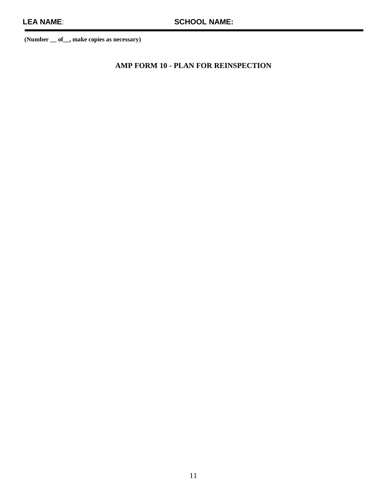**AMP FORM 10 - PLAN FOR REINSPECTION**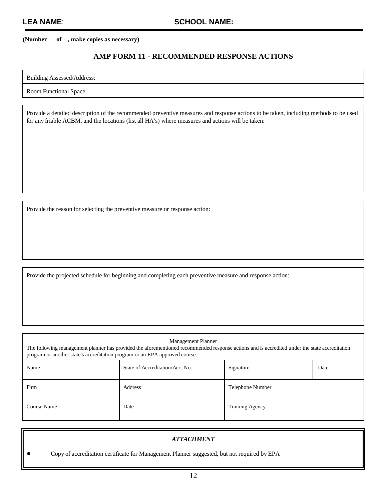#### **AMP FORM 11 - RECOMMENDED RESPONSE ACTIONS**

Building Assessed/Address:

Room Functional Space:

Provide a detailed description of the recommended preventive measures and response actions to be taken, including methods to be used for any friable ACBM, and the locations (list all HA's) where measures and actions will be taken:

Provide the reason for selecting the preventive measure or response action:

Provide the projected schedule for beginning and completing each preventive measure and response action:

| program or another state's accreditation program or an EPA-approved course. | Management Planner<br>The following management planner has provided the aforementioned recommended response actions and is accredited under the state accreditation |                        |      |
|-----------------------------------------------------------------------------|---------------------------------------------------------------------------------------------------------------------------------------------------------------------|------------------------|------|
| Name                                                                        | State of Accreditation/Acc. No.                                                                                                                                     | Signature              | Date |
| Firm                                                                        | Address                                                                                                                                                             | Telephone Number       |      |
| Course Name                                                                 | Date                                                                                                                                                                | <b>Training Agency</b> |      |

| <b>ATTACHMENT</b>                                                                           |
|---------------------------------------------------------------------------------------------|
| Copy of accreditation certificate for Management Planner suggested, but not required by EPA |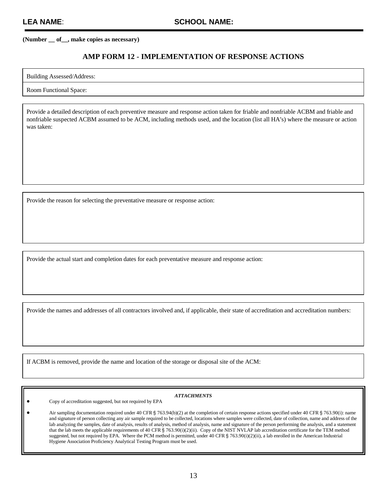#### **AMP FORM 12 - IMPLEMENTATION OF RESPONSE ACTIONS**

Building Assessed/Address:

Room Functional Space:

Provide a detailed description of each preventive measure and response action taken for friable and nonfriable ACBM and friable and nonfriable suspected ACBM assumed to be ACM, including methods used, and the location (list all HA's) where the measure or action was taken:

Provide the reason for selecting the preventative measure or response action:

Provide the actual start and completion dates for each preventative measure and response action:

Provide the names and addresses of all contractors involved and, if applicable, their state of accreditation and accreditation numbers:

If ACBM is removed, provide the name and location of the storage or disposal site of the ACM:

#### *ATTACHMENTS*

! Copy of accreditation suggested, but not required by EPA

Air sampling documentation required under 40 CFR § 763.94(b)(2) at the completion of certain response actions specified under 40 CFR § 763.90(i): name and signature of person collecting any air sample required to be collected, locations where samples were collected, date of collection, name and address of the lab analyzing the samples, date of analysis, results of analysis, method of analysis, name and signature of the person performing the analysis, and a statement that the lab meets the applicable requirements of 40 CFR  $\S$  763.90(i)(2)(ii). Copy of the NIST NVLAP lab accreditation certificate for the TEM method suggested, but not required by EPA. Where the PCM method is permitted, under 40 CFR  $\S$  763.90(i)(2)(ii), a lab enrolled in the American Industrial Hygiene Association Proficiency Analytical Testing Program must be used.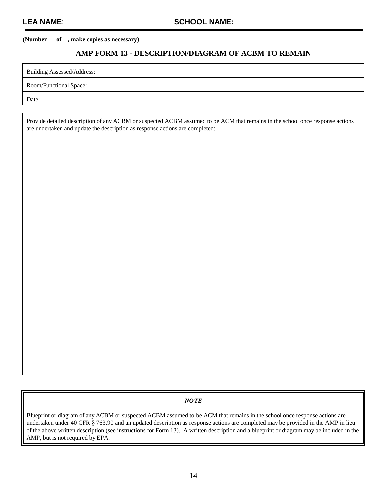#### **AMP FORM 13 - DESCRIPTION/DIAGRAM OF ACBM TO REMAIN**

Building Assessed/Address:

Room/Functional Space:

Date:

Provide detailed description of any ACBM or suspected ACBM assumed to be ACM that remains in the school once response actions are undertaken and update the description as response actions are completed:

#### *NOTE*

Blueprint or diagram of any ACBM or suspected ACBM assumed to be ACM that remains in the school once response actions are undertaken under 40 CFR § 763.90 and an updated description as response actions are completed may be provided in the AMP in lieu of the above written description (see instructions for Form 13). A written description and a blueprint or diagram may be included in the AMP, but is not required by EPA.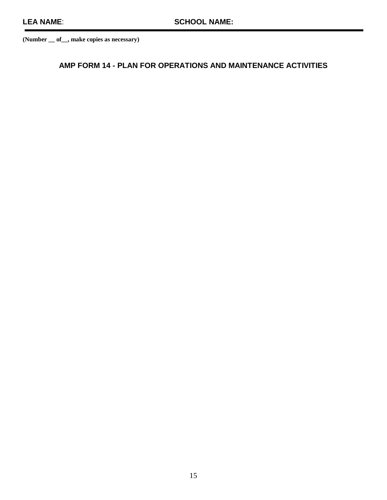### **AMP FORM 14 - PLAN FOR OPERATIONS AND MAINTENANCE ACTIVITIES**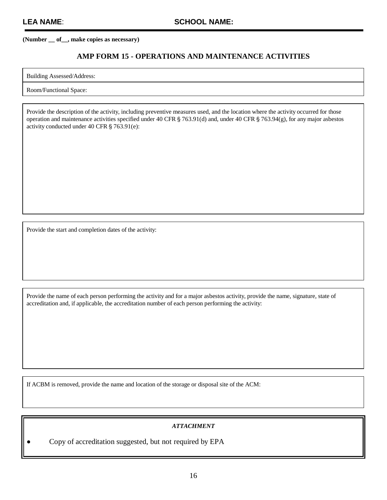#### **AMP FORM 15 - OPERATIONS AND MAINTENANCE ACTIVITIES**

Building Assessed/Address:

Room/Functional Space:

Provide the description of the activity, including preventive measures used, and the location where the activity occurred for those operation and maintenance activities specified under 40 CFR  $\S$  763.91(d) and, under 40 CFR  $\S$  763.94(g), for any major asbestos activity conducted under 40 CFR  $\S$  763.91(e):

Provide the start and completion dates of the activity:

Provide the name of each person performing the activity and for a major asbestos activity, provide the name, signature, state of accreditation and, if applicable, the accreditation number of each person performing the activity:

If ACBM is removed, provide the name and location of the storage or disposal site of the ACM:

#### *ATTACHMENT*

! Copy of accreditation suggested, but not required by EPA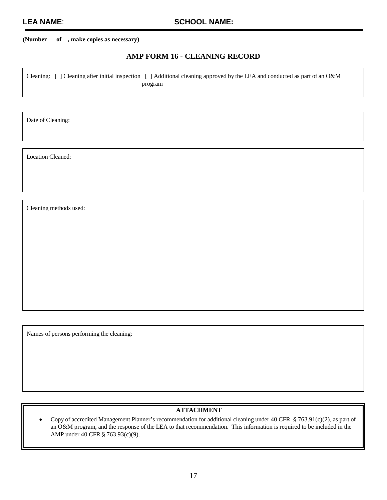### **AMP FORM 16 - CLEANING RECORD**

Cleaning: [ ] Cleaning after initial inspection [ ] Additional cleaning approved by the LEA and conducted as part of an O&M program

Date of Cleaning:

Location Cleaned:

Cleaning methods used:

Names of persons performing the cleaning:

#### **ATTACHMENT**

• Copy of accredited Management Planner's recommendation for additional cleaning under 40 CFR  $$763.91(c)(2)$ , as part of an O&M program, and the response of the LEA to that recommendation. This information is required to be included in the AMP under 40 CFR § 763.93(c)(9).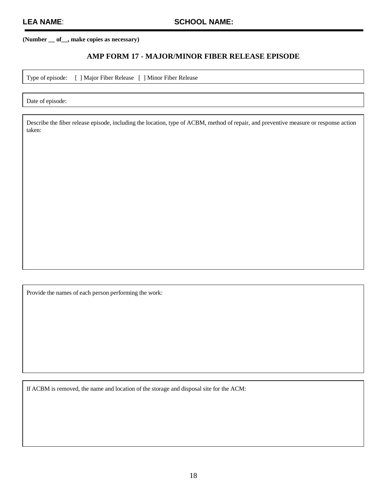#### **AMP FORM 17 - MAJOR/MINOR FIBER RELEASE EPISODE**

Type of episode: [ ] Major Fiber Release [ ] Minor Fiber Release

Date of episode:

Describe the fiber release episode, including the location, type of ACBM, method of repair, and preventive measure or response action taken:

Provide the names of each person performing the work:

If ACBM is removed, the name and location of the storage and disposal site for the ACM: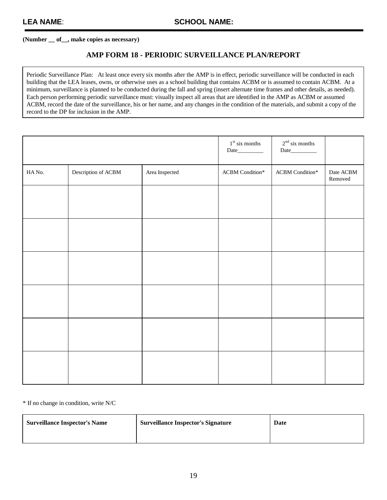#### **AMP FORM 18 - PERIODIC SURVEILLANCE PLAN/REPORT**

Periodic Surveillance Plan: At least once every six months after the AMP is in effect, periodic surveillance will be conducted in each building that the LEA leases, owns, or otherwise uses as a school building that contains ACBM or is assumed to contain ACBM. At a minimum, surveillance is planned to be conducted during the fall and spring (insert alternate time frames and other details, as needed). Each person performing periodic surveillance must: visually inspect all areas that are identified in the AMP as ACBM or assumed ACBM, record the date of the surveillance, his or her name, and any changes in the condition of the materials, and submit a copy of the record to the DP for inclusion in the AMP.

|                |                     |                | $1^{\rm st}$ six months          | $2nd$ six months<br>Date_________ |                      |
|----------------|---------------------|----------------|----------------------------------|-----------------------------------|----------------------|
| ${\rm HA}$ No. | Description of ACBM | Area Inspected | $\operatorname{ACBM}$ Condition* | $\operatorname{ACBM}$ Condition*  | Date ACBM<br>Removed |
|                |                     |                |                                  |                                   |                      |
|                |                     |                |                                  |                                   |                      |
|                |                     |                |                                  |                                   |                      |
|                |                     |                |                                  |                                   |                      |
|                |                     |                |                                  |                                   |                      |
|                |                     |                |                                  |                                   |                      |

\* If no change in condition, write N/C

| <b>Surveillance Inspector's Name</b> | <b>Surveillance Inspector's Signature</b> | Date |
|--------------------------------------|-------------------------------------------|------|
|                                      |                                           |      |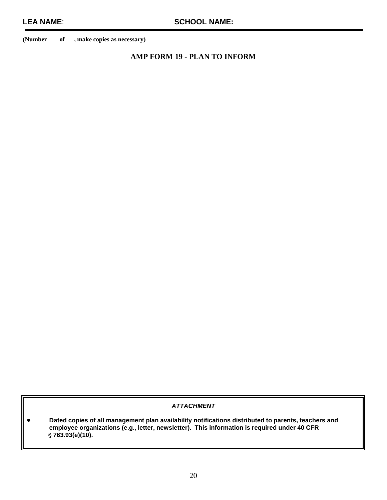### **AMP FORM 19 - PLAN TO INFORM**

#### **ATTACHMENT**

! **Dated copies of all management plan availability notifications distributed to parents, teachers and employee organizations (e.g., letter, newsletter). This information is required under 40 CFR** ' **763.93(e)(10).**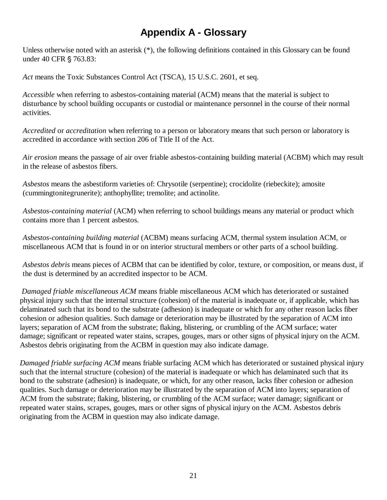## **Appendix A - Glossary**

Unless otherwise noted with an asterisk (\*), the following definitions contained in this Glossary can be found under 40 CFR § 763.83:

*Act* means the Toxic Substances Control Act (TSCA), 15 U.S.C. 2601, et seq.

*Accessible* when referring to asbestos-containing material (ACM) means that the material is subject to disturbance by school building occupants or custodial or maintenance personnel in the course of their normal activities.

*Accredited* or *accreditation* when referring to a person or laboratory means that such person or laboratory is accredited in accordance with section 206 of Title II of the Act.

*Air erosion* means the passage of air over friable asbestos-containing building material (ACBM) which may result in the release of asbestos fibers.

*Asbestos* means the asbestiform varieties of: Chrysotile (serpentine); crocidolite (riebeckite); amosite (cummingtonitegrunerite); anthophyllite; tremolite; and actinolite.

*Asbestos-containing material* (ACM) when referring to school buildings means any material or product which contains more than 1 percent asbestos.

*Asbestos-containing building material* (ACBM) means surfacing ACM, thermal system insulation ACM, or miscellaneous ACM that is found in or on interior structural members or other parts of a school building.

*Asbestos debris* means pieces of ACBM that can be identified by color, texture, or composition, or means dust, if the dust is determined by an accredited inspector to be ACM.

 *Damaged friable miscellaneous ACM* means friable miscellaneous ACM which has deteriorated or sustained physical injury such that the internal structure (cohesion) of the material is inadequate or, if applicable, which has delaminated such that its bond to the substrate (adhesion) is inadequate or which for any other reason lacks fiber cohesion or adhesion qualities. Such damage or deterioration may be illustrated by the separation of ACM into layers; separation of ACM from the substrate; flaking, blistering, or crumbling of the ACM surface; water damage; significant or repeated water stains, scrapes, gouges, mars or other signs of physical injury on the ACM. Asbestos debris originating from the ACBM in question may also indicate damage.

*Damaged friable surfacing ACM* means friable surfacing ACM which has deteriorated or sustained physical injury such that the internal structure (cohesion) of the material is inadequate or which has delaminated such that its bond to the substrate (adhesion) is inadequate, or which, for any other reason, lacks fiber cohesion or adhesion qualities. Such damage or deterioration may be illustrated by the separation of ACM into layers; separation of ACM from the substrate; flaking, blistering, or crumbling of the ACM surface; water damage; significant or repeated water stains, scrapes, gouges, mars or other signs of physical injury on the ACM. Asbestos debris originating from the ACBM in question may also indicate damage.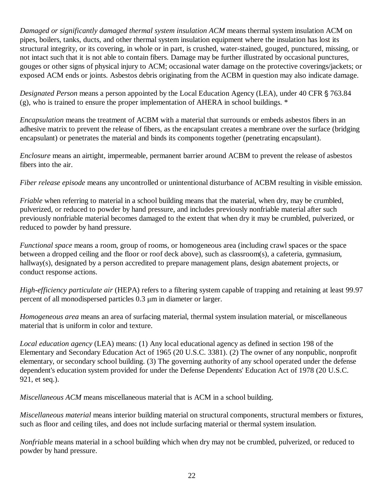*Damaged or significantly damaged thermal system insulation ACM* means thermal system insulation ACM on pipes, boilers, tanks, ducts, and other thermal system insulation equipment where the insulation has lost its structural integrity, or its covering, in whole or in part, is crushed, water-stained, gouged, punctured, missing, or not intact such that it is not able to contain fibers. Damage may be further illustrated by occasional punctures, gouges or other signs of physical injury to ACM; occasional water damage on the protective coverings/jackets; or exposed ACM ends or joints. Asbestos debris originating from the ACBM in question may also indicate damage.

*Designated Person* means a person appointed by the Local Education Agency (LEA), under 40 CFR § 763.84  $(g)$ , who is trained to ensure the proper implementation of AHERA in school buildings.  $*$ 

*Encapsulation* means the treatment of ACBM with a material that surrounds or embeds asbestos fibers in an adhesive matrix to prevent the release of fibers, as the encapsulant creates a membrane over the surface (bridging encapsulant) or penetrates the material and binds its components together (penetrating encapsulant).

*Enclosure* means an airtight, impermeable, permanent barrier around ACBM to prevent the release of asbestos fibers into the air.

*Fiber release episode* means any uncontrolled or unintentional disturbance of ACBM resulting in visible emission.

*Friable* when referring to material in a school building means that the material, when dry, may be crumbled, pulverized, or reduced to powder by hand pressure, and includes previously nonfriable material after such previously nonfriable material becomes damaged to the extent that when dry it may be crumbled, pulverized, or reduced to powder by hand pressure.

*Functional space* means a room, group of rooms, or homogeneous area (including crawl spaces or the space between a dropped ceiling and the floor or roof deck above), such as classroom(s), a cafeteria, gymnasium, hallway(s), designated by a person accredited to prepare management plans, design abatement projects, or conduct response actions.

*High-efficiency particulate air* (HEPA) refers to a filtering system capable of trapping and retaining at least 99.97 percent of all monodispersed particles 0.3 µm in diameter or larger.

*Homogeneous area* means an area of surfacing material, thermal system insulation material, or miscellaneous material that is uniform in color and texture.

*Local education agency* (LEA) means: (1) Any local educational agency as defined in section 198 of the Elementary and Secondary Education Act of 1965 (20 U.S.C. 3381). (2) The owner of any nonpublic, nonprofit elementary, or secondary school building. (3) The governing authority of any school operated under the defense dependent's education system provided for under the Defense Dependents' Education Act of 1978 (20 U.S.C. 921, et seq.).

*Miscellaneous ACM* means miscellaneous material that is ACM in a school building.

*Miscellaneous material* means interior building material on structural components, structural members or fixtures, such as floor and ceiling tiles, and does not include surfacing material or thermal system insulation.

*Nonfriable* means material in a school building which when dry may not be crumbled, pulverized, or reduced to powder by hand pressure.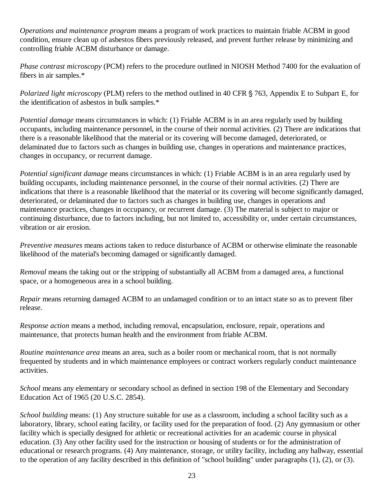*Operations and maintenance program* means a program of work practices to maintain friable ACBM in good condition, ensure clean up of asbestos fibers previously released, and prevent further release by minimizing and controlling friable ACBM disturbance or damage.

*Phase contrast microscopy* (PCM) refers to the procedure outlined in NIOSH Method 7400 for the evaluation of fibers in air samples.\*

*Polarized light microscopy* (PLM) refers to the method outlined in 40 CFR § 763, Appendix E to Subpart E, for the identification of asbestos in bulk samples.\*

*Potential damage* means circumstances in which: (1) Friable ACBM is in an area regularly used by building occupants, including maintenance personnel, in the course of their normal activities. (2) There are indications that there is a reasonable likelihood that the material or its covering will become damaged, deteriorated, or delaminated due to factors such as changes in building use, changes in operations and maintenance practices, changes in occupancy, or recurrent damage.

*Potential significant damage* means circumstances in which: (1) Friable ACBM is in an area regularly used by building occupants, including maintenance personnel, in the course of their normal activities. (2) There are indications that there is a reasonable likelihood that the material or its covering will become significantly damaged, deteriorated, or delaminated due to factors such as changes in building use, changes in operations and maintenance practices, changes in occupancy, or recurrent damage. (3) The material is subject to major or continuing disturbance, due to factors including, but not limited to, accessibility or, under certain circumstances, vibration or air erosion.

*Preventive measures* means actions taken to reduce disturbance of ACBM or otherwise eliminate the reasonable likelihood of the material's becoming damaged or significantly damaged.

*Removal* means the taking out or the stripping of substantially all ACBM from a damaged area, a functional space, or a homogeneous area in a school building.

*Repair* means returning damaged ACBM to an undamaged condition or to an intact state so as to prevent fiber release.

*Response action* means a method, including removal, encapsulation, enclosure, repair, operations and maintenance, that protects human health and the environment from friable ACBM.

*Routine maintenance area* means an area, such as a boiler room or mechanical room, that is not normally frequented by students and in which maintenance employees or contract workers regularly conduct maintenance activities.

*School* means any elementary or secondary school as defined in section 198 of the Elementary and Secondary Education Act of 1965 (20 U.S.C. 2854).

*School building* means: (1) Any structure suitable for use as a classroom, including a school facility such as a laboratory, library, school eating facility, or facility used for the preparation of food. (2) Any gymnasium or other facility which is specially designed for athletic or recreational activities for an academic course in physical education. (3) Any other facility used for the instruction or housing of students or for the administration of educational or research programs. (4) Any maintenance, storage, or utility facility, including any hallway, essential to the operation of any facility described in this definition of "school building" under paragraphs (1), (2), or (3).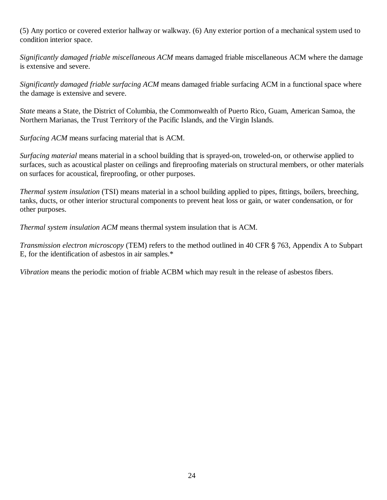(5) Any portico or covered exterior hallway or walkway. (6) Any exterior portion of a mechanical system used to condition interior space.

*Significantly damaged friable miscellaneous ACM* means damaged friable miscellaneous ACM where the damage is extensive and severe.

*Significantly damaged friable surfacing ACM* means damaged friable surfacing ACM in a functional space where the damage is extensive and severe.

*State* means a State, the District of Columbia, the Commonwealth of Puerto Rico, Guam, American Samoa, the Northern Marianas, the Trust Territory of the Pacific Islands, and the Virgin Islands.

*Surfacing ACM* means surfacing material that is ACM.

*Surfacing material* means material in a school building that is sprayed-on, troweled-on, or otherwise applied to surfaces, such as acoustical plaster on ceilings and fireproofing materials on structural members, or other materials on surfaces for acoustical, fireproofing, or other purposes.

*Thermal system insulation* (TSI) means material in a school building applied to pipes, fittings, boilers, breeching, tanks, ducts, or other interior structural components to prevent heat loss or gain, or water condensation, or for other purposes.

*Thermal system insulation ACM* means thermal system insulation that is ACM.

*Transmission electron microscopy* (TEM) refers to the method outlined in 40 CFR § 763, Appendix A to Subpart E, for the identification of asbestos in air samples.\*

*Vibration* means the periodic motion of friable ACBM which may result in the release of asbestos fibers.